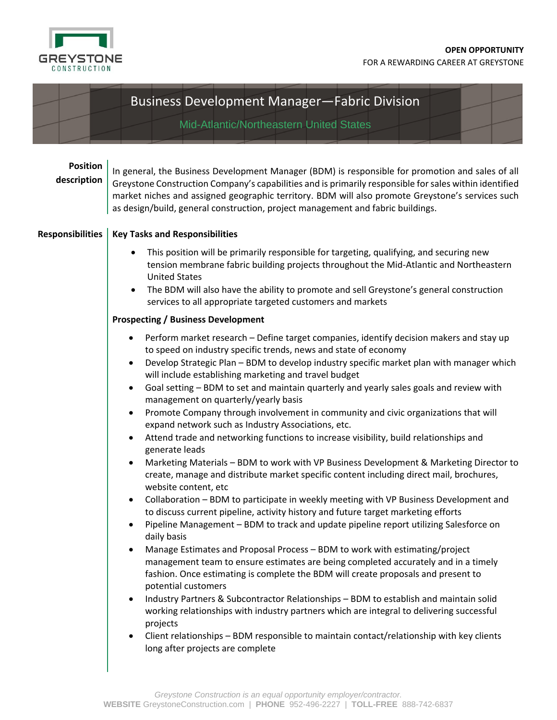

## Business Development Manager—Fabric Division

Mid-Atlantic/Northeastern United States

## **Position description**

In general, the Business Development Manager (BDM) is responsible for promotion and sales of all Greystone Construction Company's capabilities and is primarily responsible for sales within identified market niches and assigned geographic territory. BDM will also promote Greystone's services such as design/build, general construction, project management and fabric buildings.

## **Responsibilities Key Tasks and Responsibilities**

- This position will be primarily responsible for targeting, qualifying, and securing new tension membrane fabric building projects throughout the Mid-Atlantic and Northeastern United States
- The BDM will also have the ability to promote and sell Greystone's general construction services to all appropriate targeted customers and markets

## **Prospecting / Business Development**

- Perform market research Define target companies, identify decision makers and stay up to speed on industry specific trends, news and state of economy
- Develop Strategic Plan BDM to develop industry specific market plan with manager which will include establishing marketing and travel budget
- Goal setting BDM to set and maintain quarterly and yearly sales goals and review with management on quarterly/yearly basis
- Promote Company through involvement in community and civic organizations that will expand network such as Industry Associations, etc.
- Attend trade and networking functions to increase visibility, build relationships and generate leads
- Marketing Materials BDM to work with VP Business Development & Marketing Director to create, manage and distribute market specific content including direct mail, brochures, website content, etc
- Collaboration BDM to participate in weekly meeting with VP Business Development and to discuss current pipeline, activity history and future target marketing efforts
- Pipeline Management BDM to track and update pipeline report utilizing Salesforce on daily basis
- Manage Estimates and Proposal Process BDM to work with estimating/project management team to ensure estimates are being completed accurately and in a timely fashion. Once estimating is complete the BDM will create proposals and present to potential customers
- Industry Partners & Subcontractor Relationships BDM to establish and maintain solid working relationships with industry partners which are integral to delivering successful projects
- Client relationships BDM responsible to maintain contact/relationship with key clients long after projects are complete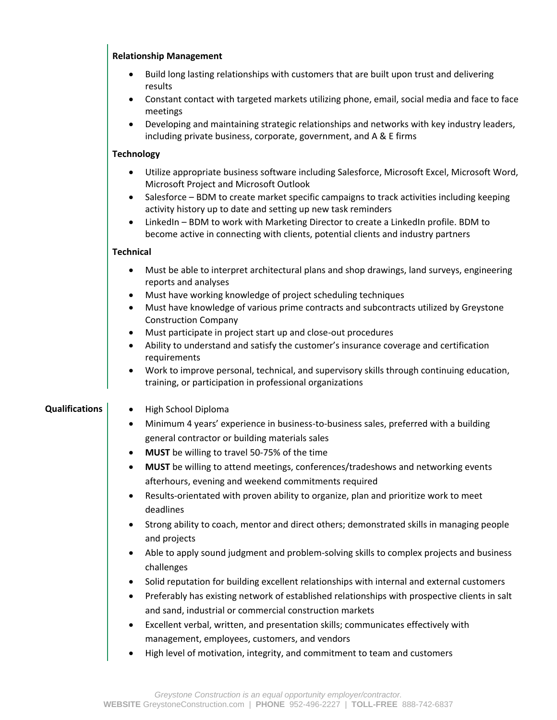|                       | <b>Relationship Management</b>                                                                                                                                                                                                                                                                                                                                                                                                                                                                               |
|-----------------------|--------------------------------------------------------------------------------------------------------------------------------------------------------------------------------------------------------------------------------------------------------------------------------------------------------------------------------------------------------------------------------------------------------------------------------------------------------------------------------------------------------------|
|                       | Build long lasting relationships with customers that are built upon trust and delivering<br>$\bullet$<br>results                                                                                                                                                                                                                                                                                                                                                                                             |
|                       | Constant contact with targeted markets utilizing phone, email, social media and face to face<br>$\bullet$<br>meetings                                                                                                                                                                                                                                                                                                                                                                                        |
|                       | Developing and maintaining strategic relationships and networks with key industry leaders,<br>$\bullet$<br>including private business, corporate, government, and A & E firms                                                                                                                                                                                                                                                                                                                                |
|                       | <b>Technology</b>                                                                                                                                                                                                                                                                                                                                                                                                                                                                                            |
|                       | Utilize appropriate business software including Salesforce, Microsoft Excel, Microsoft Word,<br>Microsoft Project and Microsoft Outlook<br>Salesforce - BDM to create market specific campaigns to track activities including keeping<br>$\bullet$<br>activity history up to date and setting up new task reminders<br>LinkedIn - BDM to work with Marketing Director to create a LinkedIn profile. BDM to<br>$\bullet$<br>become active in connecting with clients, potential clients and industry partners |
|                       | <b>Technical</b>                                                                                                                                                                                                                                                                                                                                                                                                                                                                                             |
|                       | Must be able to interpret architectural plans and shop drawings, land surveys, engineering<br>٠<br>reports and analyses                                                                                                                                                                                                                                                                                                                                                                                      |
|                       | Must have working knowledge of project scheduling techniques<br>$\bullet$<br>Must have knowledge of various prime contracts and subcontracts utilized by Greystone<br>$\bullet$<br><b>Construction Company</b><br>Must participate in project start up and close-out procedures<br>$\bullet$                                                                                                                                                                                                                 |
|                       | Ability to understand and satisfy the customer's insurance coverage and certification<br>$\bullet$<br>requirements                                                                                                                                                                                                                                                                                                                                                                                           |
|                       | Work to improve personal, technical, and supervisory skills through continuing education,<br>$\bullet$<br>training, or participation in professional organizations                                                                                                                                                                                                                                                                                                                                           |
| <b>Qualifications</b> | High School Diploma<br>$\bullet$                                                                                                                                                                                                                                                                                                                                                                                                                                                                             |
|                       | Minimum 4 years' experience in business-to-business sales, preferred with a building<br>$\bullet$<br>general contractor or building materials sales                                                                                                                                                                                                                                                                                                                                                          |
|                       | MUST be willing to travel 50-75% of the time                                                                                                                                                                                                                                                                                                                                                                                                                                                                 |
|                       | MUST be willing to attend meetings, conferences/tradeshows and networking events<br>٠<br>afterhours, evening and weekend commitments required                                                                                                                                                                                                                                                                                                                                                                |
|                       | Results-orientated with proven ability to organize, plan and prioritize work to meet<br>$\bullet$<br>deadlines                                                                                                                                                                                                                                                                                                                                                                                               |
|                       | Strong ability to coach, mentor and direct others; demonstrated skills in managing people<br>$\bullet$<br>and projects                                                                                                                                                                                                                                                                                                                                                                                       |
|                       | Able to apply sound judgment and problem-solving skills to complex projects and business<br>٠<br>challenges                                                                                                                                                                                                                                                                                                                                                                                                  |
|                       | Solid reputation for building excellent relationships with internal and external customers<br>٠<br>Preferably has existing network of established relationships with prospective clients in salt<br>$\bullet$<br>and sand, industrial or commercial construction markets                                                                                                                                                                                                                                     |
|                       | Excellent verbal, written, and presentation skills; communicates effectively with<br>٠<br>management, employees, customers, and vendors                                                                                                                                                                                                                                                                                                                                                                      |
|                       | High level of motivation, integrity, and commitment to team and customers<br>٠                                                                                                                                                                                                                                                                                                                                                                                                                               |